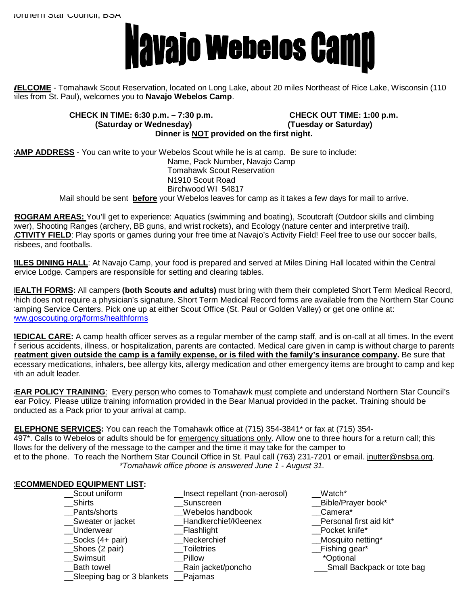

**WELCOME** - Tomahawk Scout Reservation, located on Long Lake, about 20 miles Northeast of Rice Lake, Wisconsin (110 miles from St. Paul), welcomes you to **Navajo Webelos Camp**.

> **CHECK IN TIME: 6:30 p.m. – 7:30 p.m. CHECK OUT TIME: 1:00 p.m. (Saturday or Wednesday) (Tuesday or Saturday) Dinner is NOT provided on the first night.**

**CAMP ADDRESS** - You can write to your Webelos Scout while he is at camp. Be sure to include: Name, Pack Number, Navajo Camp Tomahawk Scout Reservation N1910 Scout Road Birchwood WI 54817 Mail should be sent **before** your Webelos leaves for camp as it takes a few days for mail to arrive.

**PROGRAM AREAS:** You'll get to experience: Aquatics (swimming and boating), Scoutcraft (Outdoor skills and climbing ywer), Shooting Ranges (archery, BB guns, and wrist rockets), and Ecology (nature center and interpretive trail). **ACTIVITY FIELD**: Play sports or games during your free time at Navajo's Activity Field! Feel free to use our soccer balls, risbees, and footballs.

**MILES DINING HALL**: At Navajo Camp, your food is prepared and served at Miles Dining Hall located within the Central ervice Lodge. Campers are responsible for setting and clearing tables.

**HEALTH FORMS:** All campers **(both Scouts and adults)** must bring with them their completed Short Term Medical Record, hich does not require a physician's signature. Short Term Medical Record forms are available from the Northern Star Council amping Service Centers. Pick one up at either Scout Office (St. Paul or Golden Valley) or get one online at: www.goscouting.org/forms/healthforms

**MEDICAL CARE:** A camp health officer serves as a regular member of the camp staff, and is on-call at all times. In the event f serious accidents, illness, or hospitalization, parents are contacted. Medical care given in camp is without charge to parents. **Treatment given outside the camp is a family expense, or is filed with the family's insurance company.** Be sure that ecessary medications, inhalers, bee allergy kits, allergy medication and other emergency items are brought to camp and kep ith an adult leader.

**BEAR POLICY TRAINING**: Every person who comes to Tomahawk must complete and understand Northern Star Council's Bear Policy. Please utilize training information provided in the Bear Manual provided in the packet. Training should be conducted as a Pack prior to your arrival at camp.

**TELEPHONE SERVICES:** You can reach the Tomahawk office at (715) 354-3841\* or fax at (715) 354- 3497\*. Calls to Webelos or adults should be for emergency situations only. Allow one to three hours for a return call; this llows for the delivery of the message to the camper and the time it may take for the camper to et to the phone. To reach the Northern Star Council Office in St. Paul call (763) 231-7201 or email. [jnutter@nsbsa.org](mailto:jnutter@nsbsa.org). *\*Tomahawk office phone is answered June 1 - August 31.* 

## **RECOMMENDED EQUIPMENT LIST:**

| Scout uniform              | Insect repellant (non-aerosol) | Watch*                      |
|----------------------------|--------------------------------|-----------------------------|
| Shirts                     | Sunscreen                      | __Bible/Prayer book*        |
| Pants/shorts               | Webelos handbook               | Camera*                     |
| Sweater or jacket          | Handkerchief/Kleenex           | Personal first aid kit*     |
| Underwear                  | _Flashlight                    | Pocket knife*               |
| $\_\$ Socks (4+ pair)      | Neckerchief                    | __Mosquito netting*         |
| __Shoes (2 pair)           | Toiletries                     | _Fishing gear*              |
| Swimsuit                   | Pillow                         | <i>*Optional</i>            |
| <b>Bath towel</b>          | _Rain jacket/poncho            | _Small Backpack or tote bag |
| Sleeping bag or 3 blankets | Pajamas                        |                             |